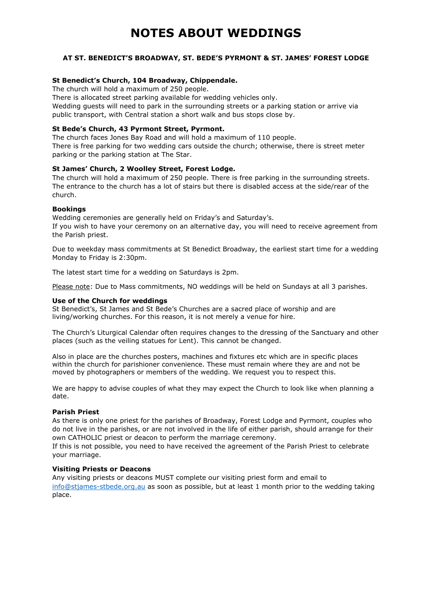# **NOTES ABOUT WEDDINGS**

## **AT ST. BENEDICT'S BROADWAY, ST. BEDE'S PYRMONT & ST. JAMES' FOREST LODGE**

## **St Benedict's Church, 104 Broadway, Chippendale.**

The church will hold a maximum of 250 people.

There is allocated street parking available for wedding vehicles only. Wedding guests will need to park in the surrounding streets or a parking station or arrive via public transport, with Central station a short walk and bus stops close by.

## **St Bede's Church, 43 Pyrmont Street, Pyrmont.**

The church faces Jones Bay Road and will hold a maximum of 110 people. There is free parking for two wedding cars outside the church; otherwise, there is street meter parking or the parking station at The Star.

## **St James' Church, 2 Woolley Street, Forest Lodge.**

The church will hold a maximum of 250 people. There is free parking in the surrounding streets. The entrance to the church has a lot of stairs but there is disabled access at the side/rear of the church.

## **Bookings**

Wedding ceremonies are generally held on Friday's and Saturday's. If you wish to have your ceremony on an alternative day, you will need to receive agreement from the Parish priest.

Due to weekday mass commitments at St Benedict Broadway, the earliest start time for a wedding Monday to Friday is 2:30pm.

The latest start time for a wedding on Saturdays is 2pm.

Please note: Due to Mass commitments, NO weddings will be held on Sundays at all 3 parishes.

## **Use of the Church for weddings**

St Benedict's, St James and St Bede's Churches are a sacred place of worship and are living/working churches. For this reason, it is not merely a venue for hire.

The Church's Liturgical Calendar often requires changes to the dressing of the Sanctuary and other places (such as the veiling statues for Lent). This cannot be changed.

Also in place are the churches posters, machines and fixtures etc which are in specific places within the church for parishioner convenience. These must remain where they are and not be moved by photographers or members of the wedding. We request you to respect this.

We are happy to advise couples of what they may expect the Church to look like when planning a date.

## **Parish Priest**

As there is only one priest for the parishes of Broadway, Forest Lodge and Pyrmont, couples who do not live in the parishes, or are not involved in the life of either parish, should arrange for their own CATHOLIC priest or deacon to perform the marriage ceremony.

If this is not possible, you need to have received the agreement of the Parish Priest to celebrate your marriage.

## **Visiting Priests or Deacons**

Any visiting priests or deacons MUST complete our visiting priest form and email to [info@stjames-stbede.org.au](mailto:info@stjames-stbede.org.au) as soon as possible, but at least 1 month prior to the wedding taking place.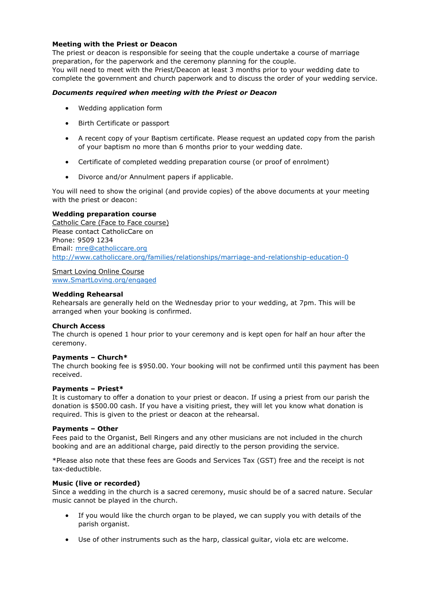## **Meeting with the Priest or Deacon**

The priest or deacon is responsible for seeing that the couple undertake a course of marriage preparation, for the paperwork and the ceremony planning for the couple. You will need to meet with the Priest/Deacon at least 3 months prior to your wedding date to complete the government and church paperwork and to discuss the order of your wedding service.

## *Documents required when meeting with the Priest or Deacon*

- Wedding application form
- Birth Certificate or passport
- A recent copy of your Baptism certificate. Please request an updated copy from the parish of your baptism no more than 6 months prior to your wedding date.
- Certificate of completed wedding preparation course (or proof of enrolment)
- Divorce and/or Annulment papers if applicable.

You will need to show the original (and provide copies) of the above documents at your meeting with the priest or deacon:

#### **Wedding preparation course**

Catholic Care (Face to Face course) Please contact CatholicCare on Phone: 9509 1234 Email: [mre@catholiccare.org](mailto:mre@catholiccare.org) <http://www.catholiccare.org/families/relationships/marriage-and-relationship-education-0>

## Smart Loving Online Course

[www.SmartLoving.org/engaged](http://www.smartloving.org/engaged)

#### **Wedding Rehearsal**

Rehearsals are generally held on the Wednesday prior to your wedding, at 7pm. This will be arranged when your booking is confirmed.

## **Church Access**

The church is opened 1 hour prior to your ceremony and is kept open for half an hour after the ceremony.

## **Payments – Church\***

The church booking fee is \$950.00. Your booking will not be confirmed until this payment has been received.

#### **Payments – Priest\***

It is customary to offer a donation to your priest or deacon. If using a priest from our parish the donation is \$500.00 cash. If you have a visiting priest, they will let you know what donation is required. This is given to the priest or deacon at the rehearsal.

#### **Payments – Other**

Fees paid to the Organist, Bell Ringers and any other musicians are not included in the church booking and are an additional charge, paid directly to the person providing the service.

\*Please also note that these fees are Goods and Services Tax (GST) free and the receipt is not tax-deductible.

#### **Music (live or recorded)**

Since a wedding in the church is a sacred ceremony, music should be of a sacred nature. Secular music cannot be played in the church.

- If you would like the church organ to be played, we can supply you with details of the parish organist.
- Use of other instruments such as the harp, classical guitar, viola etc are welcome.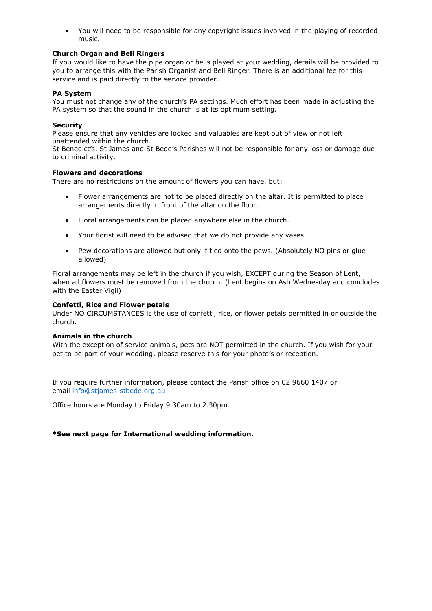• You will need to be responsible for any copyright issues involved in the playing of recorded music.

## **Church Organ and Bell Ringers**

If you would like to have the pipe organ or bells played at your wedding, details will be provided to you to arrange this with the Parish Organist and Bell Ringer. There is an additional fee for this service and is paid directly to the service provider.

## **PA System**

You must not change any of the church's PA settings. Much effort has been made in adjusting the PA system so that the sound in the church is at its optimum setting.

## **Security**

Please ensure that any vehicles are locked and valuables are kept out of view or not left unattended within the church.

St Benedict's, St James and St Bede's Parishes will not be responsible for any loss or damage due to criminal activity.

## **Flowers and decorations**

There are no restrictions on the amount of flowers you can have, but:

- Flower arrangements are not to be placed directly on the altar. It is permitted to place arrangements directly in front of the altar on the floor.
- Floral arrangements can be placed anywhere else in the church.
- Your florist will need to be advised that we do not provide any vases.
- Pew decorations are allowed but only if tied onto the pews. (Absolutely NO pins or glue allowed)

Floral arrangements may be left in the church if you wish, EXCEPT during the Season of Lent, when all flowers must be removed from the church. (Lent begins on Ash Wednesday and concludes with the Easter Vigil)

## **Confetti, Rice and Flower petals**

Under NO CIRCUMSTANCES is the use of confetti, rice, or flower petals permitted in or outside the church.

## **Animals in the church**

With the exception of service animals, pets are NOT permitted in the church. If you wish for your pet to be part of your wedding, please reserve this for your photo's or reception.

If you require further information, please contact the Parish office on 02 9660 1407 or email [info@stjames-stbede.org.au](mailto:info@stjames-stbede.org.au)

Office hours are Monday to Friday 9.30am to 2.30pm.

## **\*See next page for International wedding information.**